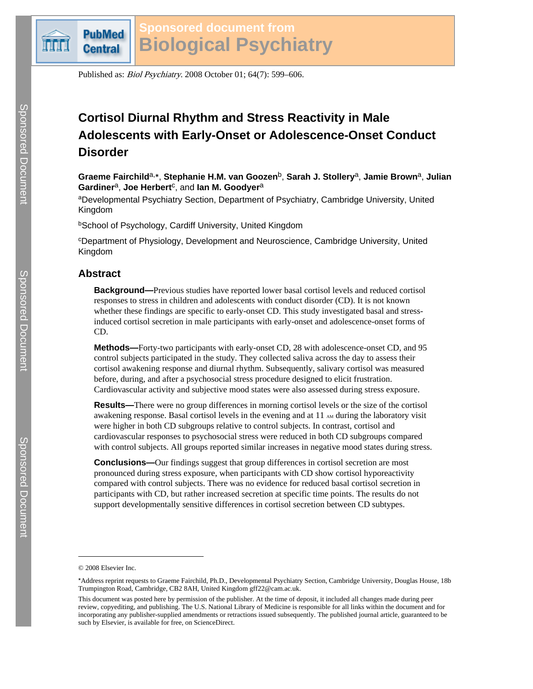

# **Sponsored document from Biological Psychiatry**

Published as: Biol Psychiatry. 2008 October 01; 64(7): 599–606.

# **Cortisol Diurnal Rhythm and Stress Reactivity in Male Adolescents with Early-Onset or Adolescence-Onset Conduct Disorder**

**Graeme Fairchild**a,⁎ , **Stephanie H.M. van Goozen**b, **Sarah J. Stollery**a, **Jamie Brown**a, **Julian** Gardiner<sup>a</sup>, Joe Herbert<sup>c</sup>, and lan M. Goodyer<sup>a</sup>

aDevelopmental Psychiatry Section, Department of Psychiatry, Cambridge University, United Kingdom

**bSchool of Psychology, Cardiff University, United Kingdom** 

<sup>c</sup>Department of Physiology, Development and Neuroscience, Cambridge University, United Kingdom

# **Abstract**

**Background—**Previous studies have reported lower basal cortisol levels and reduced cortisol responses to stress in children and adolescents with conduct disorder (CD). It is not known whether these findings are specific to early-onset CD. This study investigated basal and stressinduced cortisol secretion in male participants with early-onset and adolescence-onset forms of CD.

**Methods—**Forty-two participants with early-onset CD, 28 with adolescence-onset CD, and 95 control subjects participated in the study. They collected saliva across the day to assess their cortisol awakening response and diurnal rhythm. Subsequently, salivary cortisol was measured before, during, and after a psychosocial stress procedure designed to elicit frustration. Cardiovascular activity and subjective mood states were also assessed during stress exposure.

**Results—**There were no group differences in morning cortisol levels or the size of the cortisol awakening response. Basal cortisol levels in the evening and at  $11<sub>AM</sub>$  during the laboratory visit were higher in both CD subgroups relative to control subjects. In contrast, cortisol and cardiovascular responses to psychosocial stress were reduced in both CD subgroups compared with control subjects. All groups reported similar increases in negative mood states during stress.

**Conclusions—**Our findings suggest that group differences in cortisol secretion are most pronounced during stress exposure, when participants with CD show cortisol hyporeactivity compared with control subjects. There was no evidence for reduced basal cortisol secretion in participants with CD, but rather increased secretion at specific time points. The results do not support developmentally sensitive differences in cortisol secretion between CD subtypes.

<sup>© 2008</sup> Elsevier Inc.

<sup>⁎</sup>Address reprint requests to Graeme Fairchild, Ph.D., Developmental Psychiatry Section, Cambridge University, Douglas House, 18b Trumpington Road, Cambridge, CB2 8AH, United Kingdom gff22@cam.ac.uk.

This document was posted here by permission of the publisher. At the time of deposit, it included all changes made during peer review, copyediting, and publishing. The U.S. National Library of Medicine is responsible for all links within the document and for incorporating any publisher-supplied amendments or retractions issued subsequently. The published journal article, guaranteed to be such by Elsevier, is available for free, on ScienceDirect.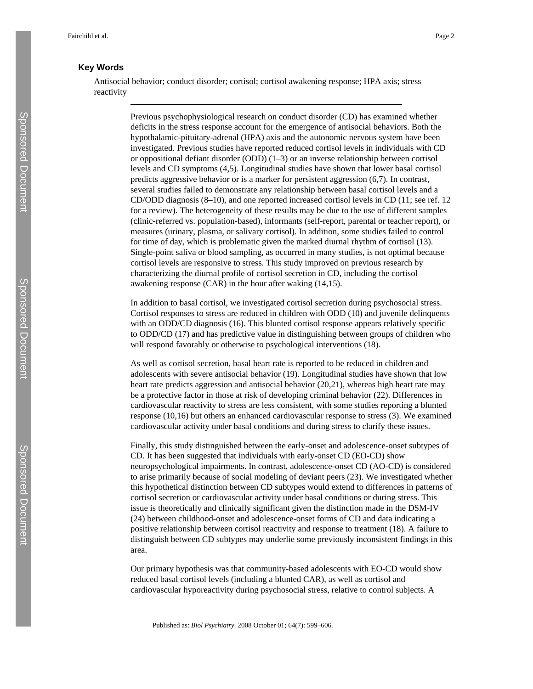# **Key Words**

Antisocial behavior; conduct disorder; cortisol; cortisol awakening response; HPA axis; stress reactivity

> Previous psychophysiological research on conduct disorder (CD) has examined whether deficits in the stress response account for the emergence of antisocial behaviors. Both the hypothalamic-pituitary-adrenal (HPA) axis and the autonomic nervous system have been investigated. Previous studies have reported reduced cortisol levels in individuals with CD or oppositional defiant disorder (ODD) (1–3) or an inverse relationship between cortisol levels and CD symptoms (4,5). Longitudinal studies have shown that lower basal cortisol predicts aggressive behavior or is a marker for persistent aggression (6,7). In contrast, several studies failed to demonstrate any relationship between basal cortisol levels and a CD/ODD diagnosis (8–10), and one reported increased cortisol levels in CD (11; see ref. 12 for a review). The heterogeneity of these results may be due to the use of different samples (clinic-referred vs. population-based), informants (self-report, parental or teacher report), or measures (urinary, plasma, or salivary cortisol). In addition, some studies failed to control for time of day, which is problematic given the marked diurnal rhythm of cortisol (13). Single-point saliva or blood sampling, as occurred in many studies, is not optimal because cortisol levels are responsive to stress. This study improved on previous research by characterizing the diurnal profile of cortisol secretion in CD, including the cortisol awakening response (CAR) in the hour after waking (14,15).

> In addition to basal cortisol, we investigated cortisol secretion during psychosocial stress. Cortisol responses to stress are reduced in children with ODD (10) and juvenile delinquents with an ODD/CD diagnosis (16). This blunted cortisol response appears relatively specific to ODD/CD (17) and has predictive value in distinguishing between groups of children who will respond favorably or otherwise to psychological interventions (18).

> As well as cortisol secretion, basal heart rate is reported to be reduced in children and adolescents with severe antisocial behavior (19). Longitudinal studies have shown that low heart rate predicts aggression and antisocial behavior (20,21), whereas high heart rate may be a protective factor in those at risk of developing criminal behavior (22). Differences in cardiovascular reactivity to stress are less consistent, with some studies reporting a blunted response (10,16) but others an enhanced cardiovascular response to stress (3). We examined cardiovascular activity under basal conditions and during stress to clarify these issues.

> Finally, this study distinguished between the early-onset and adolescence-onset subtypes of CD. It has been suggested that individuals with early-onset CD (EO-CD) show neuropsychological impairments. In contrast, adolescence-onset CD (AO-CD) is considered to arise primarily because of social modeling of deviant peers (23). We investigated whether this hypothetical distinction between CD subtypes would extend to differences in patterns of cortisol secretion or cardiovascular activity under basal conditions or during stress. This issue is theoretically and clinically significant given the distinction made in the DSM-IV (24) between childhood-onset and adolescence-onset forms of CD and data indicating a positive relationship between cortisol reactivity and response to treatment (18). A failure to distinguish between CD subtypes may underlie some previously inconsistent findings in this area.

Our primary hypothesis was that community-based adolescents with EO-CD would show reduced basal cortisol levels (including a blunted CAR), as well as cortisol and cardiovascular hyporeactivity during psychosocial stress, relative to control subjects. A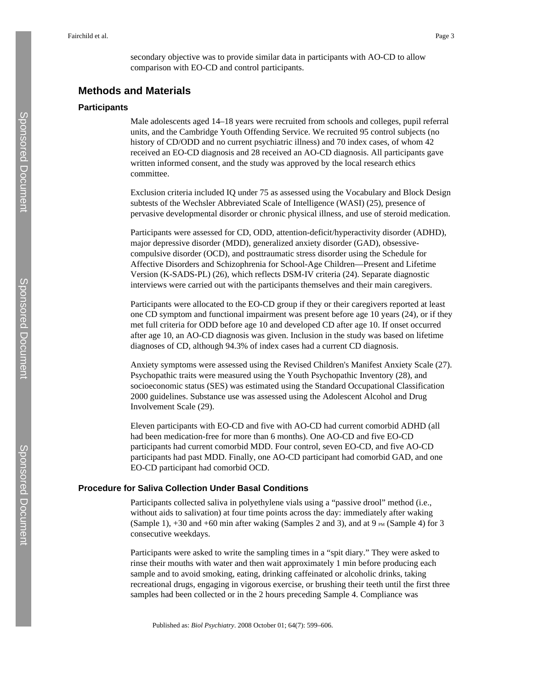secondary objective was to provide similar data in participants with AO-CD to allow comparison with EO-CD and control participants.

# **Methods and Materials**

#### **Participants**

Male adolescents aged 14–18 years were recruited from schools and colleges, pupil referral units, and the Cambridge Youth Offending Service. We recruited 95 control subjects (no history of CD/ODD and no current psychiatric illness) and 70 index cases, of whom 42 received an EO-CD diagnosis and 28 received an AO-CD diagnosis. All participants gave written informed consent, and the study was approved by the local research ethics committee.

Exclusion criteria included IQ under 75 as assessed using the Vocabulary and Block Design subtests of the Wechsler Abbreviated Scale of Intelligence (WASI) (25), presence of pervasive developmental disorder or chronic physical illness, and use of steroid medication.

Participants were assessed for CD, ODD, attention-deficit/hyperactivity disorder (ADHD), major depressive disorder (MDD), generalized anxiety disorder (GAD), obsessivecompulsive disorder (OCD), and posttraumatic stress disorder using the Schedule for Affective Disorders and Schizophrenia for School-Age Children—Present and Lifetime Version (K-SADS-PL) (26), which reflects DSM-IV criteria (24). Separate diagnostic interviews were carried out with the participants themselves and their main caregivers.

Participants were allocated to the EO-CD group if they or their caregivers reported at least one CD symptom and functional impairment was present before age 10 years (24), or if they met full criteria for ODD before age 10 and developed CD after age 10. If onset occurred after age 10, an AO-CD diagnosis was given. Inclusion in the study was based on lifetime diagnoses of CD, although 94.3% of index cases had a current CD diagnosis.

Anxiety symptoms were assessed using the Revised Children's Manifest Anxiety Scale (27). Psychopathic traits were measured using the Youth Psychopathic Inventory (28), and socioeconomic status (SES) was estimated using the Standard Occupational Classification 2000 guidelines. Substance use was assessed using the Adolescent Alcohol and Drug Involvement Scale (29).

Eleven participants with EO-CD and five with AO-CD had current comorbid ADHD (all had been medication-free for more than 6 months). One AO-CD and five EO-CD participants had current comorbid MDD. Four control, seven EO-CD, and five AO-CD participants had past MDD. Finally, one AO-CD participant had comorbid GAD, and one EO-CD participant had comorbid OCD.

## **Procedure for Saliva Collection Under Basal Conditions**

Participants collected saliva in polyethylene vials using a "passive drool" method (i.e., without aids to salivation) at four time points across the day: immediately after waking (Sample 1),  $+30$  and  $+60$  min after waking (Samples 2 and 3), and at 9 PM (Sample 4) for 3 consecutive weekdays.

Participants were asked to write the sampling times in a "spit diary." They were asked to rinse their mouths with water and then wait approximately 1 min before producing each sample and to avoid smoking, eating, drinking caffeinated or alcoholic drinks, taking recreational drugs, engaging in vigorous exercise, or brushing their teeth until the first three samples had been collected or in the 2 hours preceding Sample 4. Compliance was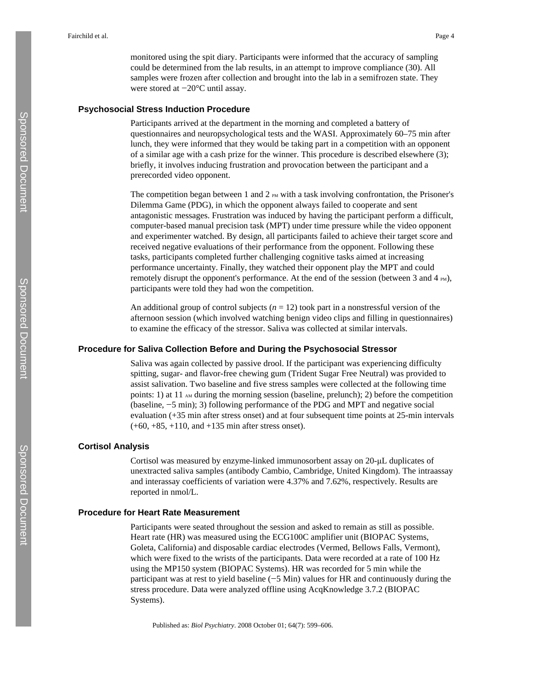monitored using the spit diary. Participants were informed that the accuracy of sampling could be determined from the lab results, in an attempt to improve compliance (30). All samples were frozen after collection and brought into the lab in a semifrozen state. They were stored at −20°C until assay.

#### **Psychosocial Stress Induction Procedure**

Participants arrived at the department in the morning and completed a battery of questionnaires and neuropsychological tests and the WASI. Approximately 60–75 min after lunch, they were informed that they would be taking part in a competition with an opponent of a similar age with a cash prize for the winner. This procedure is described elsewhere (3); briefly, it involves inducing frustration and provocation between the participant and a prerecorded video opponent.

The competition began between 1 and 2  $_{PM}$  with a task involving confrontation, the Prisoner's Dilemma Game (PDG), in which the opponent always failed to cooperate and sent antagonistic messages. Frustration was induced by having the participant perform a difficult, computer-based manual precision task (MPT) under time pressure while the video opponent and experimenter watched. By design, all participants failed to achieve their target score and received negative evaluations of their performance from the opponent. Following these tasks, participants completed further challenging cognitive tasks aimed at increasing performance uncertainty. Finally, they watched their opponent play the MPT and could remotely disrupt the opponent's performance. At the end of the session (between 3 and 4  $_{\text{PM}}$ ), participants were told they had won the competition.

An additional group of control subjects  $(n = 12)$  took part in a nonstressful version of the afternoon session (which involved watching benign video clips and filling in questionnaires) to examine the efficacy of the stressor. Saliva was collected at similar intervals.

## **Procedure for Saliva Collection Before and During the Psychosocial Stressor**

Saliva was again collected by passive drool. If the participant was experiencing difficulty spitting, sugar- and flavor-free chewing gum (Trident Sugar Free Neutral) was provided to assist salivation. Two baseline and five stress samples were collected at the following time points: 1) at 11  $_{AM}$  during the morning session (baseline, prelunch); 2) before the competition (baseline, −5 min); 3) following performance of the PDG and MPT and negative social evaluation (+35 min after stress onset) and at four subsequent time points at 25-min intervals (+60, +85, +110, and +135 min after stress onset).

## **Cortisol Analysis**

Cortisol was measured by enzyme-linked immunosorbent assay on 20-μL duplicates of unextracted saliva samples (antibody Cambio, Cambridge, United Kingdom). The intraassay and interassay coefficients of variation were 4.37% and 7.62%, respectively. Results are reported in nmol/L.

#### **Procedure for Heart Rate Measurement**

Participants were seated throughout the session and asked to remain as still as possible. Heart rate (HR) was measured using the ECG100C amplifier unit (BIOPAC Systems, Goleta, California) and disposable cardiac electrodes (Vermed, Bellows Falls, Vermont), which were fixed to the wrists of the participants. Data were recorded at a rate of 100 Hz using the MP150 system (BIOPAC Systems). HR was recorded for 5 min while the participant was at rest to yield baseline (−5 Min) values for HR and continuously during the stress procedure. Data were analyzed offline using AcqKnowledge 3.7.2 (BIOPAC Systems).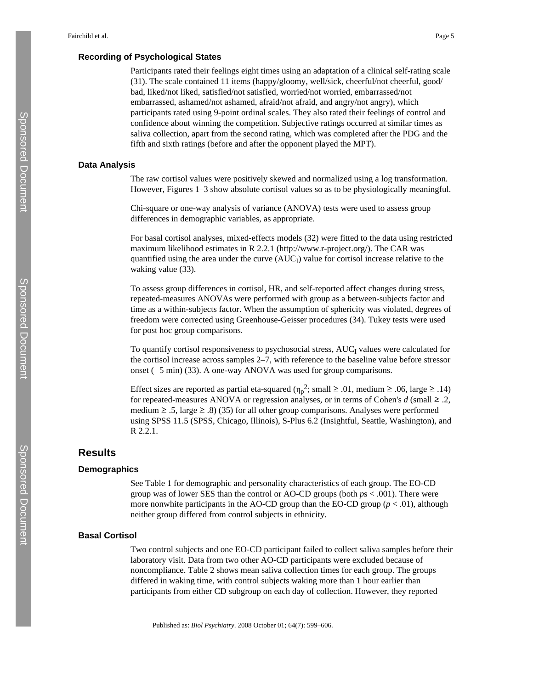## **Recording of Psychological States**

Participants rated their feelings eight times using an adaptation of a clinical self-rating scale (31). The scale contained 11 items (happy/gloomy, well/sick, cheerful/not cheerful, good/ bad, liked/not liked, satisfied/not satisfied, worried/not worried, embarrassed/not embarrassed, ashamed/not ashamed, afraid/not afraid, and angry/not angry), which participants rated using 9-point ordinal scales. They also rated their feelings of control and confidence about winning the competition. Subjective ratings occurred at similar times as saliva collection, apart from the second rating, which was completed after the PDG and the fifth and sixth ratings (before and after the opponent played the MPT).

#### **Data Analysis**

The raw cortisol values were positively skewed and normalized using a log transformation. However, Figures 1–3 show absolute cortisol values so as to be physiologically meaningful.

Chi-square or one-way analysis of variance (ANOVA) tests were used to assess group differences in demographic variables, as appropriate.

For basal cortisol analyses, mixed-effects models (32) were fitted to the data using restricted maximum likelihood estimates in R 2.2.1 [\(http://www.r-project.org/](http://www.r-project.org/)). The CAR was quantified using the area under the curve (AUC<sub>I</sub>) value for cortisol increase relative to the waking value  $(33)$ .

To assess group differences in cortisol, HR, and self-reported affect changes during stress, repeated-measures ANOVAs were performed with group as a between-subjects factor and time as a within-subjects factor. When the assumption of sphericity was violated, degrees of freedom were corrected using Greenhouse-Geisser procedures (34). Tukey tests were used for post hoc group comparisons.

To quantify cortisol responsiveness to psychosocial stress, AUC<sub>I</sub> values were calculated for the cortisol increase across samples 2–7, with reference to the baseline value before stressor onset (−5 min) (33). A one-way ANOVA was used for group comparisons.

Effect sizes are reported as partial eta-squared ( $\eta_p^2$ ; small  $\geq 0.01$ , medium  $\geq 0.06$ , large  $\geq 0.14$ ) for repeated-measures ANOVA or regression analyses, or in terms of Cohen's  $d$  (small  $\geq$  .2, medium  $\ge$  .5, large  $\ge$  .8) (35) for all other group comparisons. Analyses were performed using SPSS 11.5 (SPSS, Chicago, Illinois), S-Plus 6.2 (Insightful, Seattle, Washington), and R 2.2.1.

# **Results**

#### **Demographics**

See Table 1 for demographic and personality characteristics of each group. The EO-CD group was of lower SES than the control or AO-CD groups (both *p*s < .001). There were more nonwhite participants in the AO-CD group than the EO-CD group ( $p < .01$ ), although neither group differed from control subjects in ethnicity.

#### **Basal Cortisol**

Two control subjects and one EO-CD participant failed to collect saliva samples before their laboratory visit. Data from two other AO-CD participants were excluded because of noncompliance. Table 2 shows mean saliva collection times for each group. The groups differed in waking time, with control subjects waking more than 1 hour earlier than participants from either CD subgroup on each day of collection. However, they reported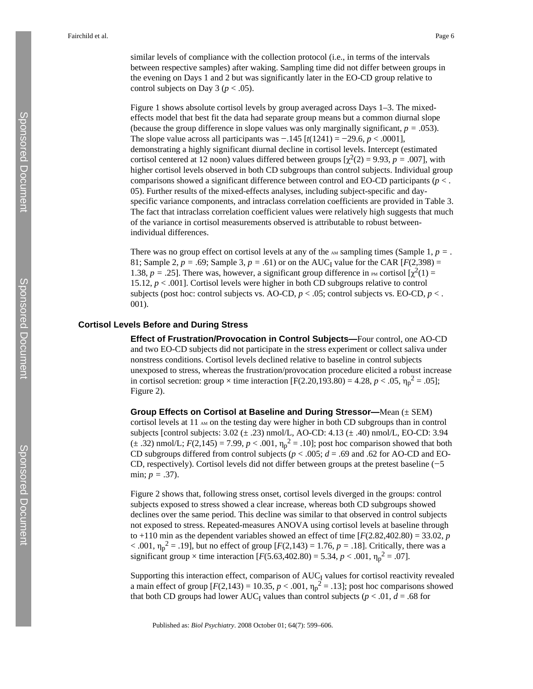similar levels of compliance with the collection protocol (i.e., in terms of the intervals between respective samples) after waking. Sampling time did not differ between groups in the evening on Days 1 and 2 but was significantly later in the EO-CD group relative to control subjects on Day 3 ( $p < .05$ ).

Figure 1 shows absolute cortisol levels by group averaged across Days 1–3. The mixedeffects model that best fit the data had separate group means but a common diurnal slope (because the group difference in slope values was only marginally significant,  $p = .053$ ). The slope value across all participants was −.145 [*t*(1241) = −29.6, *p* < .0001], demonstrating a highly significant diurnal decline in cortisol levels. Intercept (estimated cortisol centered at 12 noon) values differed between groups  $[\chi^2(2) = 9.93, p = .007]$ , with higher cortisol levels observed in both CD subgroups than control subjects. Individual group comparisons showed a significant difference between control and EO-CD participants (*p* < . 05). Further results of the mixed-effects analyses, including subject-specific and dayspecific variance components, and intraclass correlation coefficients are provided in Table 3. The fact that intraclass correlation coefficient values were relatively high suggests that much of the variance in cortisol measurements observed is attributable to robust betweenindividual differences.

There was no group effect on cortisol levels at any of the  $\Delta M$  sampling times (Sample 1,  $p =$ . 81; Sample 2,  $p = .69$ ; Sample 3,  $p = .61$ ) or on the AUC<sub>I</sub> value for the CAR [ $F(2,398) =$ 1.38,  $p = .25$ ]. There was, however, a significant group difference in PM cortisol  $[\chi^2(1) =$ 15.12, *p* < .001]. Cortisol levels were higher in both CD subgroups relative to control subjects (post hoc: control subjects vs. AO-CD,  $p < .05$ ; control subjects vs. EO-CD,  $p < .$ 001).

## **Cortisol Levels Before and During Stress**

**Effect of Frustration/Provocation in Control Subjects—**Four control, one AO-CD and two EO-CD subjects did not participate in the stress experiment or collect saliva under nonstress conditions. Cortisol levels declined relative to baseline in control subjects unexposed to stress, whereas the frustration/provocation procedure elicited a robust increase in cortisol secretion: group  $\times$  time interaction [F(2.20,193.80) = 4.28, *p* < .05,  $\eta_p^2$  = .05]; Figure 2).

**Group Effects on Cortisol at Baseline and During Stressor—**Mean (± SEM) cortisol levels at 11  $_{AM}$  on the testing day were higher in both CD subgroups than in control subjects [control subjects:  $3.02 \pm .23$ ) nmol/L, AO-CD:  $4.13 \pm .40$ ) nmol/L, EO-CD:  $3.94$  $(\pm .32)$  nmol/L;  $F(2,145) = 7.99$ ,  $p < .001$ ,  $\eta_p^2 = .10$ ]; post hoc comparison showed that both CD subgroups differed from control subjects ( $p < .005$ ;  $d = .69$  and .62 for AO-CD and EO-CD, respectively). Cortisol levels did not differ between groups at the pretest baseline (−5 min; *p =* .37).

Figure 2 shows that, following stress onset, cortisol levels diverged in the groups: control subjects exposed to stress showed a clear increase, whereas both CD subgroups showed declines over the same period. This decline was similar to that observed in control subjects not exposed to stress. Repeated-measures ANOVA using cortisol levels at baseline through to +110 min as the dependent variables showed an effect of time  $[F(2.82, 402.80) = 33.02, p$ < .001,  $η<sub>p</sub><sup>2</sup> = .19$ ], but no effect of group [*F*(2,143) = 1.76, *p* = .18]. Critically, there was a significant group  $\times$  time interaction [ $F(5.63,402.80) = 5.34, p < .001, \eta_p^2 = .07$ ].

Supporting this interaction effect, comparison of AUC<sub>I</sub> values for cortisol reactivity revealed a main effect of group  $[F(2,143) = 10.35, p < .001, \eta_p^2 = .13]$ ; post hoc comparisons showed that both CD groups had lower  $AUC_I$  values than control subjects ( $p < .01$ ,  $d = .68$  for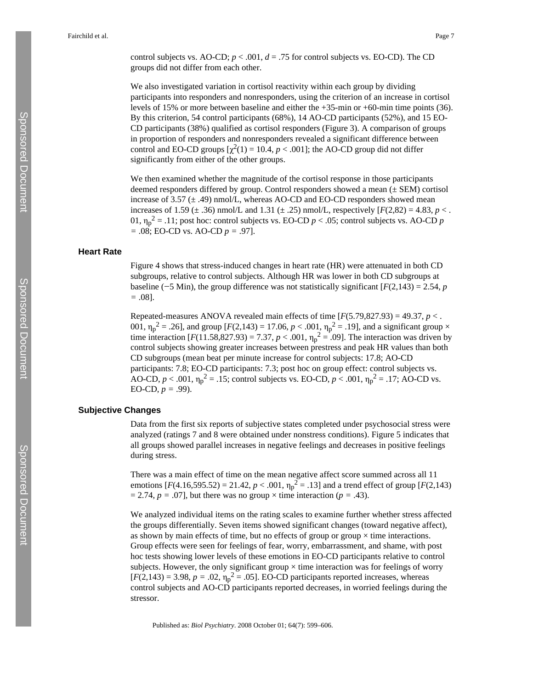control subjects vs. AO-CD;  $p < .001$ ,  $d = .75$  for control subjects vs. EO-CD). The CD groups did not differ from each other.

We also investigated variation in cortisol reactivity within each group by dividing participants into responders and nonresponders, using the criterion of an increase in cortisol levels of 15% or more between baseline and either the +35-min or +60-min time points (36). By this criterion, 54 control participants (68%), 14 AO-CD participants (52%), and 15 EO-CD participants (38%) qualified as cortisol responders (Figure 3). A comparison of groups in proportion of responders and nonresponders revealed a significant difference between control and EO-CD groups  $[\chi^2(1) = 10.4, p < .001]$ ; the AO-CD group did not differ significantly from either of the other groups.

We then examined whether the magnitude of the cortisol response in those participants deemed responders differed by group. Control responders showed a mean (± SEM) cortisol increase of 3.57 ( $\pm$  .49) nmol/L, whereas AO-CD and EO-CD responders showed mean increases of 1.59 ( $\pm$  .36) nmol/L and 1.31 ( $\pm$  .25) nmol/L, respectively [ $F(2,82) = 4.83$ ,  $p <$ . 01,  $\eta_p^2 = .11$ ; post hoc: control subjects vs. EO-CD  $p < .05$ ; control subjects vs. AO-CD  $p$ *=* .08; EO-CD vs. AO-CD *p =* .97].

#### **Heart Rate**

Figure 4 shows that stress-induced changes in heart rate (HR) were attenuated in both CD subgroups, relative to control subjects. Although HR was lower in both CD subgroups at baseline ( $-5$  Min), the group difference was not statistically significant  $[F(2,143) = 2.54, p$ *=* .08].

Repeated-measures ANOVA revealed main effects of time  $[F(5.79,827.93) = 49.37, p < .$ 001,  $\eta_p^2 = .26$ ], and group [*F*(2,143) = 17.06, *p* < .001,  $\eta_p^2 = .19$ ], and a significant group × time interaction  $[F(11.58,827.93) = 7.37, p < .001, \eta_p^2 = .09]$ . The interaction was driven by control subjects showing greater increases between prestress and peak HR values than both CD subgroups (mean beat per minute increase for control subjects: 17.8; AO-CD participants: 7.8; EO-CD participants: 7.3; post hoc on group effect: control subjects vs. AO-CD,  $p < .001$ ,  $\eta_p^2 = .15$ ; control subjects vs. EO-CD,  $p < .001$ ,  $\eta_p^2 = .17$ ; AO-CD vs. EO-CD,  $p = .99$ ).

## **Subjective Changes**

Data from the first six reports of subjective states completed under psychosocial stress were analyzed (ratings 7 and 8 were obtained under nonstress conditions). Figure 5 indicates that all groups showed parallel increases in negative feelings and decreases in positive feelings during stress.

There was a main effect of time on the mean negative affect score summed across all 11 emotions  $[F(4.16, 595.52) = 21.42, p < .001, \eta_p^2 = .13]$  and a trend effect of group  $[F(2, 143)$  $= 2.74$ ,  $p = .07$ , but there was no group  $\times$  time interaction ( $p = .43$ ).

We analyzed individual items on the rating scales to examine further whether stress affected the groups differentially. Seven items showed significant changes (toward negative affect), as shown by main effects of time, but no effects of group or group  $\times$  time interactions. Group effects were seen for feelings of fear, worry, embarrassment, and shame, with post hoc tests showing lower levels of these emotions in EO-CD participants relative to control subjects. However, the only significant group  $\times$  time interaction was for feelings of worry  $[F(2,143) = 3.98, p = .02, \eta_p^2 = .05]$ . EO-CD participants reported increases, whereas control subjects and AO-CD participants reported decreases, in worried feelings during the stressor.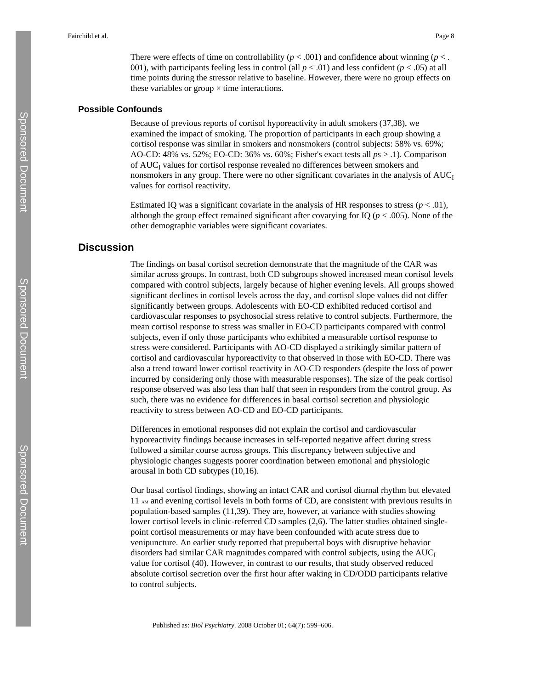There were effects of time on controllability ( $p < .001$ ) and confidence about winning ( $p < .$ 001), with participants feeling less in control (all  $p < .01$ ) and less confident ( $p < .05$ ) at all time points during the stressor relative to baseline. However, there were no group effects on these variables or group  $\times$  time interactions.

## **Possible Confounds**

Because of previous reports of cortisol hyporeactivity in adult smokers (37,38), we examined the impact of smoking. The proportion of participants in each group showing a cortisol response was similar in smokers and nonsmokers (control subjects: 58% vs. 69%; AO-CD: 48% vs. 52%; EO-CD: 36% vs. 60%; Fisher's exact tests all *p*s > .1). Comparison of AUC<sub>I</sub> values for cortisol response revealed no differences between smokers and nonsmokers in any group. There were no other significant covariates in the analysis of  $AUC<sub>I</sub>$ values for cortisol reactivity.

Estimated IO was a significant covariate in the analysis of HR responses to stress ( $p < .01$ ), although the group effect remained significant after covarying for IQ  $(p < .005)$ . None of the other demographic variables were significant covariates.

# **Discussion**

The findings on basal cortisol secretion demonstrate that the magnitude of the CAR was similar across groups. In contrast, both CD subgroups showed increased mean cortisol levels compared with control subjects, largely because of higher evening levels. All groups showed significant declines in cortisol levels across the day, and cortisol slope values did not differ significantly between groups. Adolescents with EO-CD exhibited reduced cortisol and cardiovascular responses to psychosocial stress relative to control subjects. Furthermore, the mean cortisol response to stress was smaller in EO-CD participants compared with control subjects, even if only those participants who exhibited a measurable cortisol response to stress were considered. Participants with AO-CD displayed a strikingly similar pattern of cortisol and cardiovascular hyporeactivity to that observed in those with EO-CD. There was also a trend toward lower cortisol reactivity in AO-CD responders (despite the loss of power incurred by considering only those with measurable responses). The size of the peak cortisol response observed was also less than half that seen in responders from the control group. As such, there was no evidence for differences in basal cortisol secretion and physiologic reactivity to stress between AO-CD and EO-CD participants.

Differences in emotional responses did not explain the cortisol and cardiovascular hyporeactivity findings because increases in self-reported negative affect during stress followed a similar course across groups. This discrepancy between subjective and physiologic changes suggests poorer coordination between emotional and physiologic arousal in both CD subtypes (10,16).

Our basal cortisol findings, showing an intact CAR and cortisol diurnal rhythm but elevated 11 AM and evening cortisol levels in both forms of CD, are consistent with previous results in population-based samples (11,39). They are, however, at variance with studies showing lower cortisol levels in clinic-referred CD samples (2,6). The latter studies obtained singlepoint cortisol measurements or may have been confounded with acute stress due to venipuncture. An earlier study reported that prepubertal boys with disruptive behavior disorders had similar CAR magnitudes compared with control subjects, using the  $AUC<sub>I</sub>$ value for cortisol (40). However, in contrast to our results, that study observed reduced absolute cortisol secretion over the first hour after waking in CD/ODD participants relative to control subjects.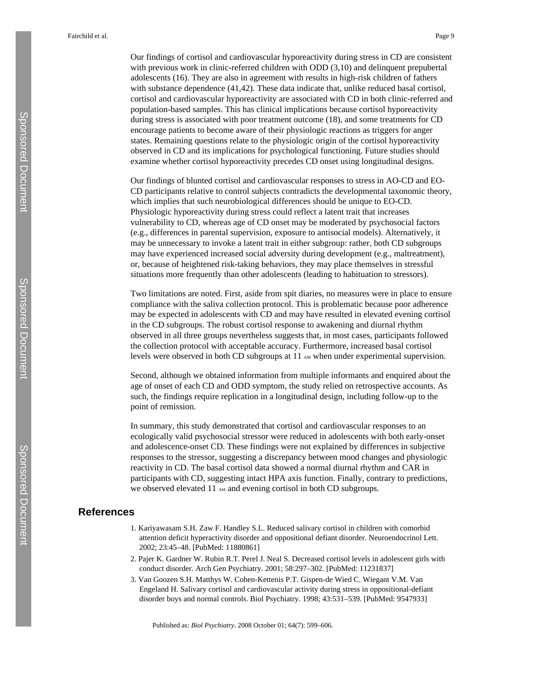Our findings of cortisol and cardiovascular hyporeactivity during stress in CD are consistent with previous work in clinic-referred children with ODD (3,10) and delinquent prepubertal adolescents (16). They are also in agreement with results in high-risk children of fathers with substance dependence (41,42). These data indicate that, unlike reduced basal cortisol, cortisol and cardiovascular hyporeactivity are associated with CD in both clinic-referred and population-based samples. This has clinical implications because cortisol hyporeactivity during stress is associated with poor treatment outcome (18), and some treatments for CD encourage patients to become aware of their physiologic reactions as triggers for anger states. Remaining questions relate to the physiologic origin of the cortisol hyporeactivity observed in CD and its implications for psychological functioning. Future studies should examine whether cortisol hyporeactivity precedes CD onset using longitudinal designs.

Our findings of blunted cortisol and cardiovascular responses to stress in AO-CD and EO-CD participants relative to control subjects contradicts the developmental taxonomic theory, which implies that such neurobiological differences should be unique to EO-CD. Physiologic hyporeactivity during stress could reflect a latent trait that increases vulnerability to CD, whereas age of CD onset may be moderated by psychosocial factors (e.g., differences in parental supervision, exposure to antisocial models). Alternatively, it may be unnecessary to invoke a latent trait in either subgroup: rather, both CD subgroups may have experienced increased social adversity during development (e.g., maltreatment), or, because of heightened risk-taking behaviors, they may place themselves in stressful situations more frequently than other adolescents (leading to habituation to stressors).

Two limitations are noted. First, aside from spit diaries, no measures were in place to ensure compliance with the saliva collection protocol. This is problematic because poor adherence may be expected in adolescents with CD and may have resulted in elevated evening cortisol in the CD subgroups. The robust cortisol response to awakening and diurnal rhythm observed in all three groups nevertheless suggests that, in most cases, participants followed the collection protocol with acceptable accuracy. Furthermore, increased basal cortisol levels were observed in both CD subgroups at  $11<sub>AM</sub>$  when under experimental supervision.

Second, although we obtained information from multiple informants and enquired about the age of onset of each CD and ODD symptom, the study relied on retrospective accounts. As such, the findings require replication in a longitudinal design, including follow-up to the point of remission.

In summary, this study demonstrated that cortisol and cardiovascular responses to an ecologically valid psychosocial stressor were reduced in adolescents with both early-onset and adolescence-onset CD. These findings were not explained by differences in subjective responses to the stressor, suggesting a discrepancy between mood changes and physiologic reactivity in CD. The basal cortisol data showed a normal diurnal rhythm and CAR in participants with CD, suggesting intact HPA axis function. Finally, contrary to predictions, we observed elevated 11 AM and evening cortisol in both CD subgroups.

# **References**

- 1. Kariyawasam S.H. Zaw F. Handley S.L. Reduced salivary cortisol in children with comorbid attention deficit hyperactivity disorder and oppositional defiant disorder. Neuroendocrinol Lett. 2002; 23:45–48. [PubMed: 11880861]
- 2. Pajer K. Gardner W. Rubin R.T. Perel J. Neal S. Decreased cortisol levels in adolescent girls with conduct disorder. Arch Gen Psychiatry. 2001; 58:297–302. [PubMed: 11231837]
- 3. Van Goozen S.H. Matthys W. Cohen-Kettenis P.T. Gispen-de Wied C. Wiegant V.M. Van Engeland H. Salivary cortisol and cardiovascular activity during stress in oppositional-defiant disorder boys and normal controls. Biol Psychiatry. 1998; 43:531–539. [PubMed: 9547933]

Published as: *Biol Psychiatry*. 2008 October 01; 64(7): 599–606.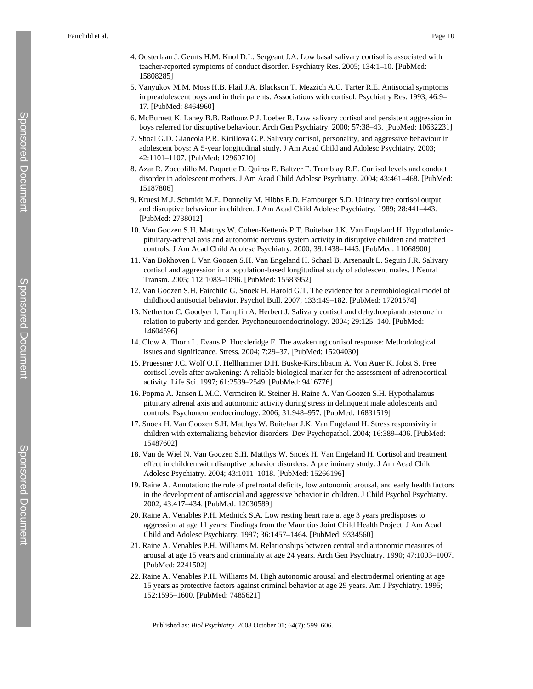- 4. Oosterlaan J. Geurts H.M. Knol D.L. Sergeant J.A. Low basal salivary cortisol is associated with teacher-reported symptoms of conduct disorder. Psychiatry Res. 2005; 134:1–10. [PubMed: 15808285]
- 5. Vanyukov M.M. Moss H.B. Plail J.A. Blackson T. Mezzich A.C. Tarter R.E. Antisocial symptoms in preadolescent boys and in their parents: Associations with cortisol. Psychiatry Res. 1993; 46:9– 17. [PubMed: 8464960]
- 6. McBurnett K. Lahey B.B. Rathouz P.J. Loeber R. Low salivary cortisol and persistent aggression in boys referred for disruptive behaviour. Arch Gen Psychiatry. 2000; 57:38–43. [PubMed: 10632231]
- 7. Shoal G.D. Giancola P.R. Kirillova G.P. Salivary cortisol, personality, and aggressive behaviour in adolescent boys: A 5-year longitudinal study. J Am Acad Child and Adolesc Psychiatry. 2003; 42:1101–1107. [PubMed: 12960710]
- 8. Azar R. Zoccolillo M. Paquette D. Quiros E. Baltzer F. Tremblay R.E. Cortisol levels and conduct disorder in adolescent mothers. J Am Acad Child Adolesc Psychiatry. 2004; 43:461–468. [PubMed: 15187806]
- 9. Kruesi M.J. Schmidt M.E. Donnelly M. Hibbs E.D. Hamburger S.D. Urinary free cortisol output and disruptive behaviour in children. J Am Acad Child Adolesc Psychiatry. 1989; 28:441–443. [PubMed: 2738012]
- 10. Van Goozen S.H. Matthys W. Cohen-Kettenis P.T. Buitelaar J.K. Van Engeland H. Hypothalamicpituitary-adrenal axis and autonomic nervous system activity in disruptive children and matched controls. J Am Acad Child Adolesc Psychiatry. 2000; 39:1438–1445. [PubMed: 11068900]
- 11. Van Bokhoven I. Van Goozen S.H. Van Engeland H. Schaal B. Arsenault L. Seguin J.R. Salivary cortisol and aggression in a population-based longitudinal study of adolescent males. J Neural Transm. 2005; 112:1083–1096. [PubMed: 15583952]
- 12. Van Goozen S.H. Fairchild G. Snoek H. Harold G.T. The evidence for a neurobiological model of childhood antisocial behavior. Psychol Bull. 2007; 133:149–182. [PubMed: 17201574]
- 13. Netherton C. Goodyer I. Tamplin A. Herbert J. Salivary cortisol and dehydroepiandrosterone in relation to puberty and gender. Psychoneuroendocrinology. 2004; 29:125–140. [PubMed: 14604596]
- 14. Clow A. Thorn L. Evans P. Huckleridge F. The awakening cortisol response: Methodological issues and significance. Stress. 2004; 7:29–37. [PubMed: 15204030]
- 15. Pruessner J.C. Wolf O.T. Hellhammer D.H. Buske-Kirschbaum A. Von Auer K. Jobst S. Free cortisol levels after awakening: A reliable biological marker for the assessment of adrenocortical activity. Life Sci. 1997; 61:2539–2549. [PubMed: 9416776]
- 16. Popma A. Jansen L.M.C. Vermeiren R. Steiner H. Raine A. Van Goozen S.H. Hypothalamus pituitary adrenal axis and autonomic activity during stress in delinquent male adolescents and controls. Psychoneuroendocrinology. 2006; 31:948–957. [PubMed: 16831519]
- 17. Snoek H. Van Goozen S.H. Matthys W. Buitelaar J.K. Van Engeland H. Stress responsivity in children with externalizing behavior disorders. Dev Psychopathol. 2004; 16:389–406. [PubMed: 15487602]
- 18. Van de Wiel N. Van Goozen S.H. Matthys W. Snoek H. Van Engeland H. Cortisol and treatment effect in children with disruptive behavior disorders: A preliminary study. J Am Acad Child Adolesc Psychiatry. 2004; 43:1011–1018. [PubMed: 15266196]
- 19. Raine A. Annotation: the role of prefrontal deficits, low autonomic arousal, and early health factors in the development of antisocial and aggressive behavior in children. J Child Psychol Psychiatry. 2002; 43:417–434. [PubMed: 12030589]
- 20. Raine A. Venables P.H. Mednick S.A. Low resting heart rate at age 3 years predisposes to aggression at age 11 years: Findings from the Mauritius Joint Child Health Project. J Am Acad Child and Adolesc Psychiatry. 1997; 36:1457–1464. [PubMed: 9334560]
- 21. Raine A. Venables P.H. Williams M. Relationships between central and autonomic measures of arousal at age 15 years and criminality at age 24 years. Arch Gen Psychiatry. 1990; 47:1003–1007. [PubMed: 2241502]
- 22. Raine A. Venables P.H. Williams M. High autonomic arousal and electrodermal orienting at age 15 years as protective factors against criminal behavior at age 29 years. Am J Psychiatry. 1995; 152:1595–1600. [PubMed: 7485621]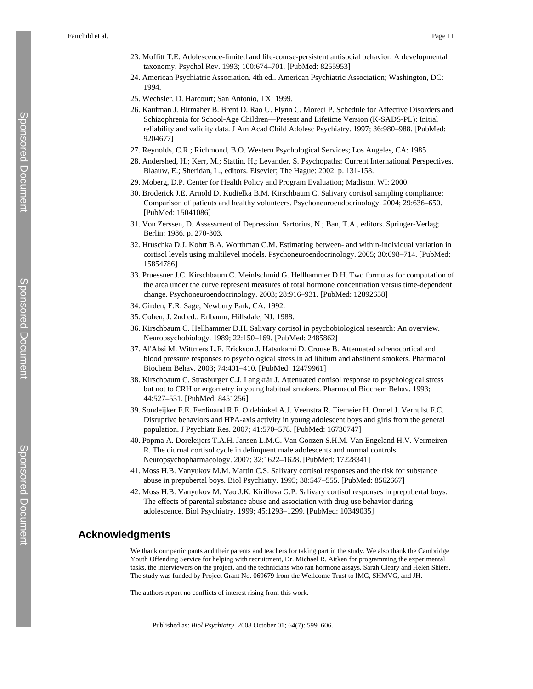- 23. Moffitt T.E. Adolescence-limited and life-course-persistent antisocial behavior: A developmental taxonomy. Psychol Rev. 1993; 100:674–701. [PubMed: 8255953]
- 24. American Psychiatric Association. 4th ed.. American Psychiatric Association; Washington, DC: 1994.
- 25. Wechsler, D. Harcourt; San Antonio, TX: 1999.
- 26. Kaufman J. Birmaher B. Brent D. Rao U. Flynn C. Moreci P. Schedule for Affective Disorders and Schizophrenia for School-Age Children—Present and Lifetime Version (K-SADS-PL): Initial reliability and validity data. J Am Acad Child Adolesc Psychiatry. 1997; 36:980–988. [PubMed: 9204677]
- 27. Reynolds, C.R.; Richmond, B.O. Western Psychological Services; Los Angeles, CA: 1985.
- 28. Andershed, H.; Kerr, M.; Stattin, H.; Levander, S. Psychopaths: Current International Perspectives. Blaauw, E.; Sheridan, L., editors. Elsevier; The Hague: 2002. p. 131-158.
- 29. Moberg, D.P. Center for Health Policy and Program Evaluation; Madison, WI: 2000.
- 30. Broderick J.E. Arnold D. Kudielka B.M. Kirschbaum C. Salivary cortisol sampling compliance: Comparison of patients and healthy volunteers. Psychoneuroendocrinology. 2004; 29:636–650. [PubMed: 15041086]
- 31. Von Zerssen, D. Assessment of Depression. Sartorius, N.; Ban, T.A., editors. Springer-Verlag; Berlin: 1986. p. 270-303.
- 32. Hruschka D.J. Kohrt B.A. Worthman C.M. Estimating between- and within-individual variation in cortisol levels using multilevel models. Psychoneuroendocrinology. 2005; 30:698–714. [PubMed: 15854786]
- 33. Pruessner J.C. Kirschbaum C. Meinlschmid G. Hellhammer D.H. Two formulas for computation of the area under the curve represent measures of total hormone concentration versus time-dependent change. Psychoneuroendocrinology. 2003; 28:916–931. [PubMed: 12892658]
- 34. Girden, E.R. Sage; Newbury Park, CA: 1992.
- 35. Cohen, J. 2nd ed.. Erlbaum; Hillsdale, NJ: 1988.
- 36. Kirschbaum C. Hellhammer D.H. Salivary cortisol in psychobiological research: An overview. Neuropsychobiology. 1989; 22:150–169. [PubMed: 2485862]
- 37. Al'Absi M. Wittmers L.E. Erickson J. Hatsukami D. Crouse B. Attenuated adrenocortical and blood pressure responses to psychological stress in ad libitum and abstinent smokers. Pharmacol Biochem Behav. 2003; 74:401–410. [PubMed: 12479961]
- 38. Kirschbaum C. Strasburger C.J. Langkrär J. Attenuated cortisol response to psychological stress but not to CRH or ergometry in young habitual smokers. Pharmacol Biochem Behav. 1993; 44:527–531. [PubMed: 8451256]
- 39. Sondeijker F.E. Ferdinand R.F. Oldehinkel A.J. Veenstra R. Tiemeier H. Ormel J. Verhulst F.C. Disruptive behaviors and HPA-axis activity in young adolescent boys and girls from the general population. J Psychiatr Res. 2007; 41:570–578. [PubMed: 16730747]
- 40. Popma A. Doreleijers T.A.H. Jansen L.M.C. Van Goozen S.H.M. Van Engeland H.V. Vermeiren R. The diurnal cortisol cycle in delinquent male adolescents and normal controls. Neuropsychopharmacology. 2007; 32:1622–1628. [PubMed: 17228341]
- 41. Moss H.B. Vanyukov M.M. Martin C.S. Salivary cortisol responses and the risk for substance abuse in prepubertal boys. Biol Psychiatry. 1995; 38:547–555. [PubMed: 8562667]
- 42. Moss H.B. Vanyukov M. Yao J.K. Kirillova G.P. Salivary cortisol responses in prepubertal boys: The effects of parental substance abuse and association with drug use behavior during adolescence. Biol Psychiatry. 1999; 45:1293–1299. [PubMed: 10349035]

# **Acknowledgments**

We thank our participants and their parents and teachers for taking part in the study. We also thank the Cambridge Youth Offending Service for helping with recruitment, Dr. Michael R. Aitken for programming the experimental tasks, the interviewers on the project, and the technicians who ran hormone assays, Sarah Cleary and Helen Shiers. The study was funded by Project Grant No. 069679 from the Wellcome Trust to IMG, SHMVG, and JH.

The authors report no conflicts of interest rising from this work.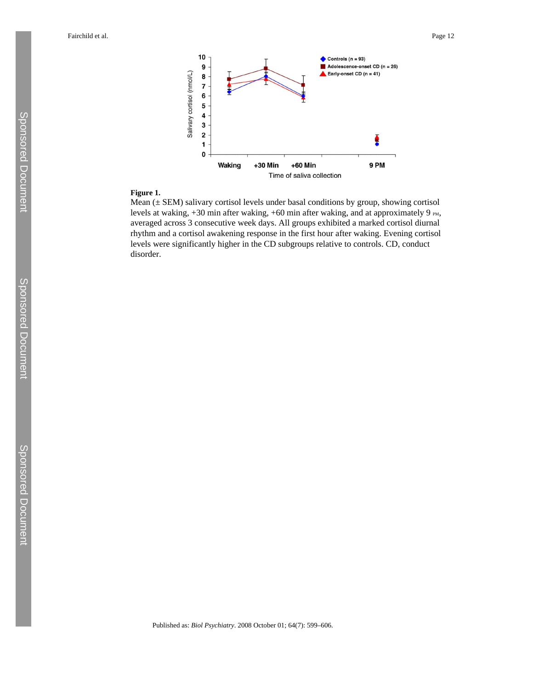

## **Figure 1.**

Mean  $(\pm$  SEM) salivary cortisol levels under basal conditions by group, showing cortisol levels at waking,  $+30$  min after waking,  $+60$  min after waking, and at approximately 9  $_{PM}$ , averaged across 3 consecutive week days. All groups exhibited a marked cortisol diurnal rhythm and a cortisol awakening response in the first hour after waking. Evening cortisol levels were significantly higher in the CD subgroups relative to controls. CD, conduct disorder.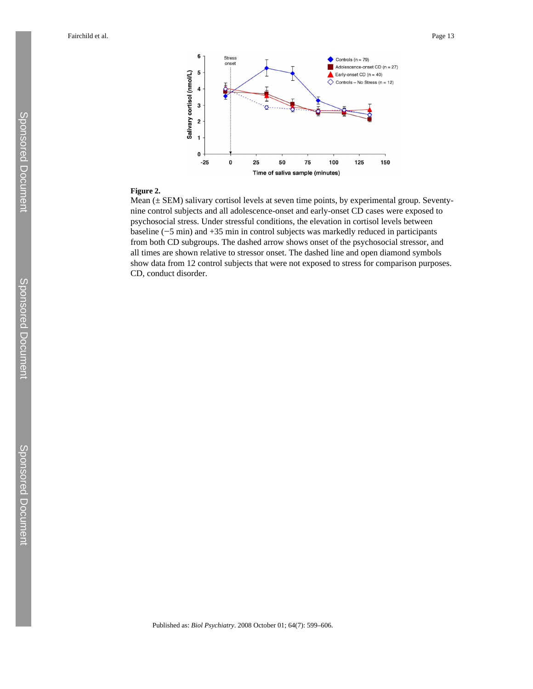

# **Figure 2.**

Mean (± SEM) salivary cortisol levels at seven time points, by experimental group. Seventynine control subjects and all adolescence-onset and early-onset CD cases were exposed to psychosocial stress. Under stressful conditions, the elevation in cortisol levels between baseline (−5 min) and +35 min in control subjects was markedly reduced in participants from both CD subgroups. The dashed arrow shows onset of the psychosocial stressor, and all times are shown relative to stressor onset. The dashed line and open diamond symbols show data from 12 control subjects that were not exposed to stress for comparison purposes. CD, conduct disorder.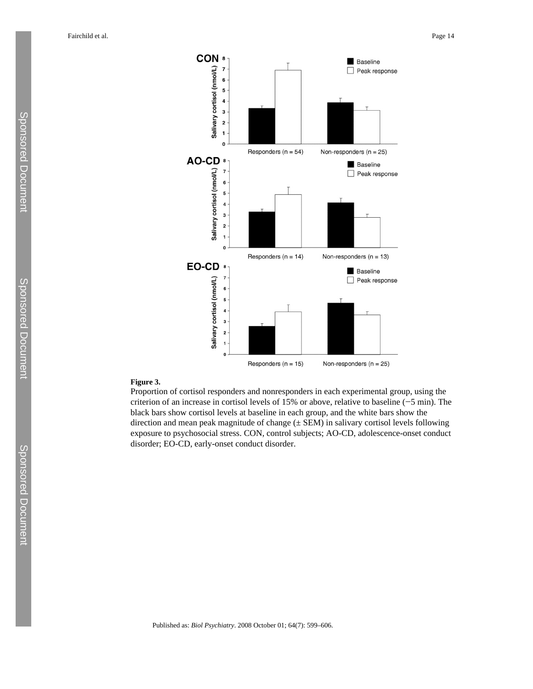

## **Figure 3.**

Proportion of cortisol responders and nonresponders in each experimental group, using the criterion of an increase in cortisol levels of 15% or above, relative to baseline (−5 min). The black bars show cortisol levels at baseline in each group, and the white bars show the direction and mean peak magnitude of change  $(\pm$  SEM) in salivary cortisol levels following exposure to psychosocial stress. CON, control subjects; AO-CD, adolescence-onset conduct disorder; EO-CD, early-onset conduct disorder.

Published as: *Biol Psychiatry*. 2008 October 01; 64(7): 599–606.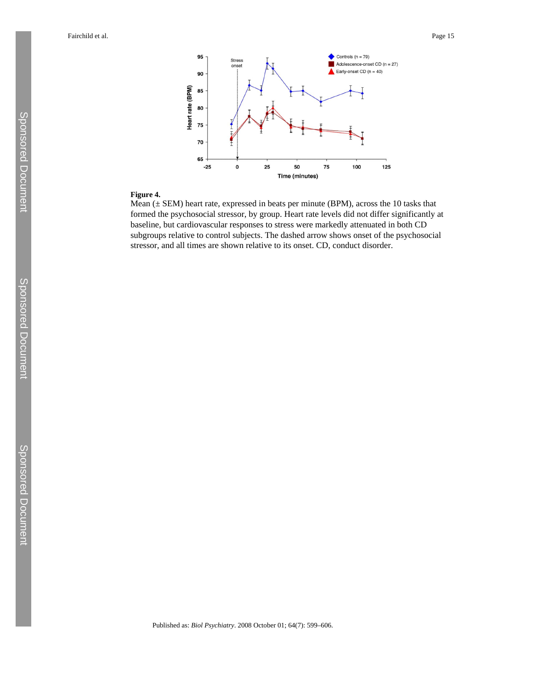

# **Figure 4.**

Mean  $(\pm$  SEM) heart rate, expressed in beats per minute (BPM), across the 10 tasks that formed the psychosocial stressor, by group. Heart rate levels did not differ significantly at baseline, but cardiovascular responses to stress were markedly attenuated in both CD subgroups relative to control subjects. The dashed arrow shows onset of the psychosocial stressor, and all times are shown relative to its onset. CD, conduct disorder.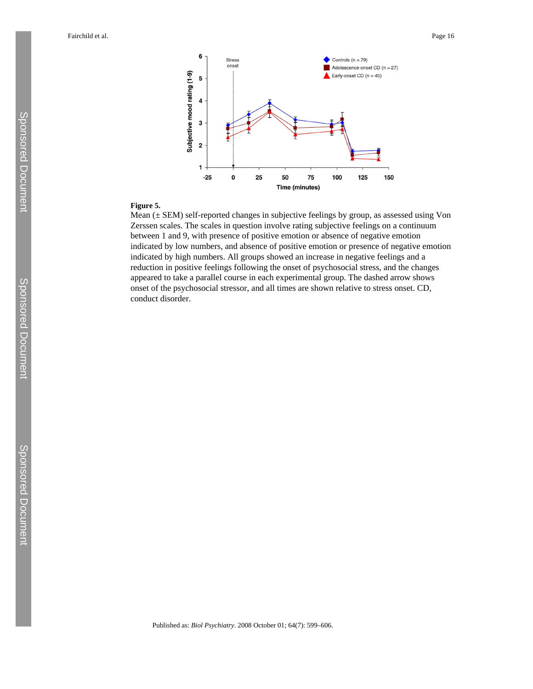

# **Figure 5.**

Mean (± SEM) self-reported changes in subjective feelings by group, as assessed using Von Zerssen scales. The scales in question involve rating subjective feelings on a continuum between 1 and 9, with presence of positive emotion or absence of negative emotion indicated by low numbers, and absence of positive emotion or presence of negative emotion indicated by high numbers. All groups showed an increase in negative feelings and a reduction in positive feelings following the onset of psychosocial stress, and the changes appeared to take a parallel course in each experimental group. The dashed arrow shows onset of the psychosocial stressor, and all times are shown relative to stress onset. CD, conduct disorder.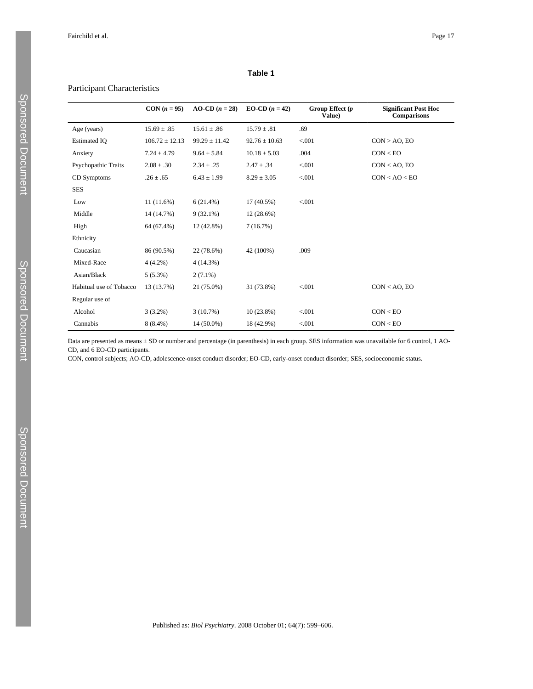## **Table 1**

## Participant Characteristics

|                            | $CON(n = 95)$      | $AO-CD$ ( $n = 28$ ) | EO-CD $(n = 42)$  | Group Effect $(p)$<br>Value) | <b>Significant Post Hoc</b><br>Comparisons |
|----------------------------|--------------------|----------------------|-------------------|------------------------------|--------------------------------------------|
| Age (years)                | $15.69 \pm .85$    | $15.61 \pm .86$      | $15.79 \pm .81$   | .69                          |                                            |
| <b>Estimated IQ</b>        | $106.72 \pm 12.13$ | $99.29 \pm 11.42$    | $92.76 \pm 10.63$ | < 0.001                      | $CON > AO$ , EO                            |
| Anxiety                    | $7.24 \pm 4.79$    | $9.64 \pm 5.84$      | $10.18 \pm 5.03$  | .004                         | CON < EO                                   |
| <b>Psychopathic Traits</b> | $2.08 \pm .30$     | $2.34 \pm .25$       | $2.47 \pm .34$    | < 0.001                      | $CON < AO$ , EO                            |
| CD Symptoms                | $.26 \pm .65$      | $6.43 \pm 1.99$      | $8.29 \pm 3.05$   | < 0.001                      | CON < AO < EO                              |
| <b>SES</b>                 |                    |                      |                   |                              |                                            |
| Low                        | 11(11.6%)          | 6(21.4%)             | $17(40.5\%)$      | < 0.001                      |                                            |
| Middle                     | 14 (14.7%)         | $9(32.1\%)$          | 12(28.6%)         |                              |                                            |
| High                       | 64 (67.4%)         | 12 (42.8%)           | 7(16.7%)          |                              |                                            |
| Ethnicity                  |                    |                      |                   |                              |                                            |
| Caucasian                  | 86 (90.5%)         | 22 (78.6%)           | 42 (100%)         | .009                         |                                            |
| Mixed-Race                 | $4(4.2\%)$         | 4(14.3%)             |                   |                              |                                            |
| Asian/Black                | $5(5.3\%)$         | $2(7.1\%)$           |                   |                              |                                            |
| Habitual use of Tobacco    | 13 (13.7%)         | 21 (75.0%)           | 31 (73.8%)        | < 001                        | $CON < AO$ , EO                            |
| Regular use of             |                    |                      |                   |                              |                                            |
| Alcohol                    | $3(3.2\%)$         | 3(10.7%)             | $10(23.8\%)$      | < 0.01                       | CON < EO                                   |
| Cannabis                   | $8(8.4\%)$         | 14 (50.0%)           | 18 (42.9%)        | < 0.001                      | CON < EO                                   |

Data are presented as means ± SD or number and percentage (in parenthesis) in each group. SES information was unavailable for 6 control, 1 AO-CD, and 6 EO-CD participants.

CON, control subjects; AO-CD, adolescence-onset conduct disorder; EO-CD, early-onset conduct disorder; SES, socioeconomic status.

Sponsored Document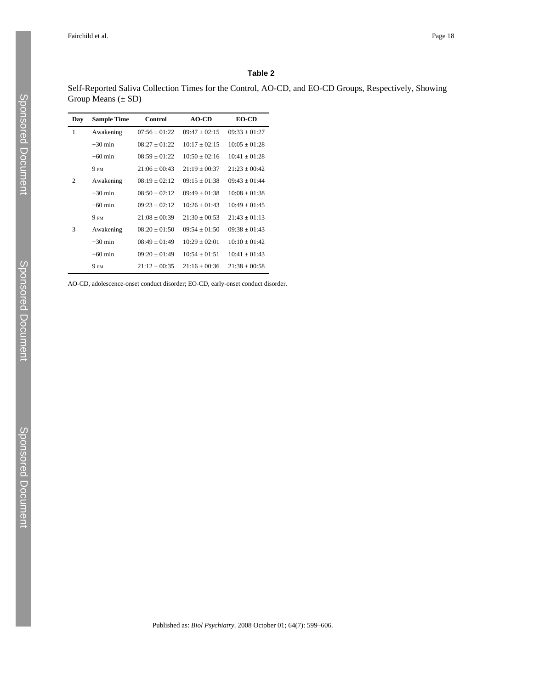## **Table 2**

Self-Reported Saliva Collection Times for the Control, AO-CD, and EO-CD Groups, Respectively, Showing Group Means (± SD)

| Day            | <b>Sample Time</b> | Control           | $AO-CD$           | <b>EO-CD</b>    |
|----------------|--------------------|-------------------|-------------------|-----------------|
| 1              | Awakening          | $07:56 \pm 01:22$ | $09:47 + 02:15$   | $09:33 + 01:27$ |
|                | $+30$ min          | $08:27 + 01:22$   | $10:17 + 02:15$   | $10:05 + 01:28$ |
|                | $+60$ min          | $08:59 \pm 01:22$ | $10:50 + 02:16$   | $10:41 + 01:28$ |
|                | 9 <sub>PM</sub>    | $21:06 + 00:43$   | $21:19 + 00:37$   | $21.23 + 00.42$ |
| $\overline{c}$ | Awakening          | $08:19 \pm 02:12$ | $09:15 \pm 01:38$ | $09:43 + 01:44$ |
|                | $+30$ min          | $08:50 + 02:12$   | $09:49 + 01:38$   | $10:08 + 01:38$ |
|                | $+60$ min          | $09:23 + 02:12$   | $10:26 + 01:43$   | $10:49 + 01:45$ |
|                | 9 <sub>PM</sub>    | $21:08 + 00:39$   | $21:30 + 00:53$   | $21:43 + 01:13$ |
| 3              | Awakening          | $08:20 \pm 01:50$ | $09:54 + 01:50$   | $09:38 + 01:43$ |
|                | $+30$ min          | $08:49 + 01:49$   | $10:29 + 02:01$   | $10:10 + 01:42$ |
|                | $+60$ min          | $09:20 + 01:49$   | $10:54 + 01:51$   | $10:41 + 01:43$ |
|                | 9 <sub>PM</sub>    | $21:12 + 00:35$   | $21:16 + 00:36$   | $21:38 + 00:58$ |

AO-CD, adolescence-onset conduct disorder; EO-CD, early-onset conduct disorder.